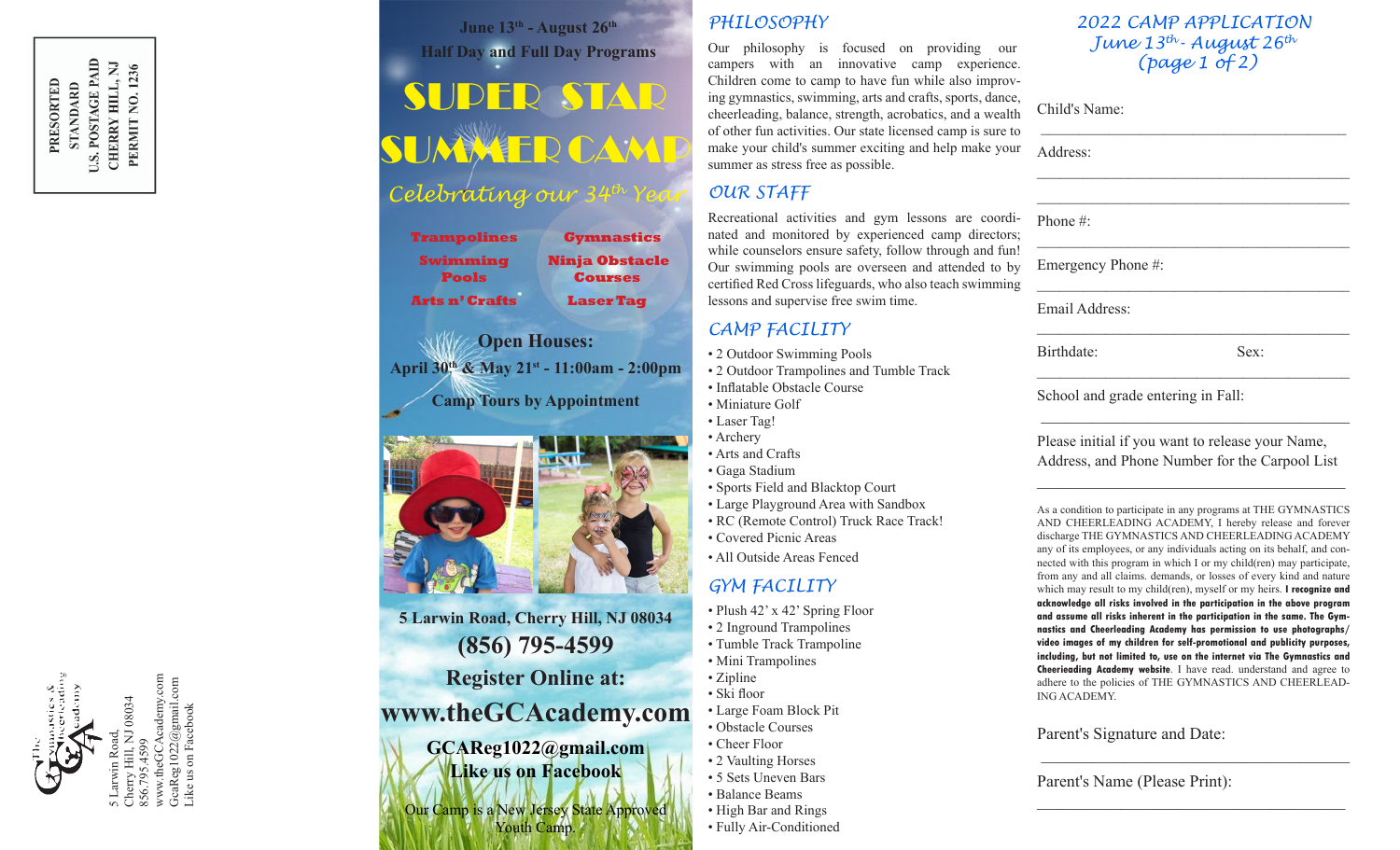

www.theGCAcademy.com<br>GcaReg1022@gmail.com<br>Like us on Facebook GcaReg1022 $@$ gmail.com Like us on Facebook

June 13<sup>th</sup> - August 26<sup>th</sup> **Half Day and Full Day Programs**

# SUPER STAR SUMMER CAMP

# *Celebrating our 34th Year*

| <b>Ninja Obstacle</b><br><b>Courses</b> |
|-----------------------------------------|
| <b>Laser Tag</b>                        |
|                                         |

**Open Houses: April 30th & May 21st - 11:00am - 2:00pm Camp Tours by Appointment**



**5 Larwin Road, Cherry Hill, NJ 08034 (856) 795-4599 Register Online at:**

# **www.theGCAcademy.com**

**GCAReg1022@gmail.com Like us on Facebook**

Our Camp is a New Jersey State Approved Youth Camp.

### *PHILOSOPHY*

Our philosophy is focused on providing our campers with an innovative camp experience. Children come to camp to have fun while also improving gymnastics, swimming, arts and crafts, sports, dance, cheerleading, balance, strength, acrobatics, and a wealth of other fun activities. Our state licensed camp is sure to make your child's summer exciting and help make your summer as stress free as possible.

### *OUR STAFF*

Recreational activities and gym lessons are coordinated and monitored by experienced camp directors; while counselors ensure safety, follow through and fun! Our swimming pools are overseen and attended to by certified Red Cross lifeguards, who also teach swimming lessons and supervise free swim time.

### *CAMP FACILITY*

- 2 Outdoor Swimming Pools
- 2 Outdoor Trampolines and Tumble Track
- Inflatable Obstacle Course
- Miniature Golf
- Laser Tag!
- Archery
- Arts and Crafts
- Gaga Stadium
- Sports Field and Blacktop Court
- Large Playground Area with Sandbox
- RC (Remote Control) Truck Race Track!
- Covered Picnic Areas
- All Outside Areas Fenced

## *GYM FACILITY*

- Plush 42' x 42' Spring Floor
- 2 Inground Trampolines
- Tumble Track Trampoline
- Mini Trampolines
- Zipline
- Ski floor
- Large Foam Block Pit
	- Obstacle Courses
	- Cheer Floor
	- 2 Vaulting Horses
	- 5 Sets Uneven Bars • Balance Beams
	- High Bar and Rings
	- Fully Air-Conditioned

#### *2022 CAMP APPLICATION June 13th- August 26th (page 1 of 2)*

\_\_\_\_\_\_\_\_\_\_\_\_\_\_\_\_\_\_\_\_\_\_\_\_\_\_\_\_\_\_\_\_\_\_\_\_\_\_\_\_

 $\mathcal{L}_\text{max}$  , we can assume that the contract of  $\mathcal{L}_\text{max}$ \_\_\_\_\_\_\_\_\_\_\_\_\_\_\_\_\_\_\_\_\_\_\_\_\_\_\_\_\_\_\_\_\_\_\_\_\_\_\_\_\_

 $\mathcal{L}_\text{max}$  , we can assume that the contract of  $\mathcal{L}_\text{max}$ 

 $\mathcal{L}_\text{max}$  and  $\mathcal{L}_\text{max}$  and  $\mathcal{L}_\text{max}$  and  $\mathcal{L}_\text{max}$ 

 $\mathcal{L}_\text{max}$  and  $\mathcal{L}_\text{max}$  and  $\mathcal{L}_\text{max}$  and  $\mathcal{L}_\text{max}$ 

Child's Name:

Address:

Phone #:

Emergency Phone #:

Email Address:

Birthdate: Sex:

\_\_\_\_\_\_\_\_\_\_\_\_\_\_\_\_\_\_\_\_\_\_\_\_\_\_\_\_\_\_\_\_\_\_\_\_\_\_\_\_\_

School and grade entering in Fall:

Please initial if you want to release your Name, Address, and Phone Number for the Carpool List

 $\mathcal{L}_\text{max}$  and  $\mathcal{L}_\text{max}$  and  $\mathcal{L}_\text{max}$  and  $\mathcal{L}_\text{max}$ 

 $\overline{\phantom{a}}$  , and the set of the set of the set of the set of the set of the set of the set of the set of the set of the set of the set of the set of the set of the set of the set of the set of the set of the set of the s

As a condition to participate in any programs at THE GYMNASTICS AND CHEERLEADING ACADEMY, I hereby release and forever discharge THE GYMNASTICS AND CHEERLEADING ACADEMY any of its employees, or any individuals acting on its behalf, and connected with this program in which I or my child(ren) may participate, from any and all claims. demands, or losses of every kind and nature which may result to my child(ren), myself or my heirs. **I recognize and acknowledge all risks involved in the participation in the above program and assume all risks inherent in the participation in the same. The Gymnastics and Cheerleading Academy has permission to use photographs/ video images of my children for self-promotional and publicity purposes, including, but not limited to, use on the internet via The Gymnastics and Cheerieading Academy website**. I have read. understand and agree to adhere to the policies of THE GYMNASTICS AND CHEERLEAD-ING ACADEMY.

\_\_\_\_\_\_\_\_\_\_\_\_\_\_\_\_\_\_\_\_\_\_\_\_\_\_\_\_\_\_\_\_\_\_\_\_\_

 $\mathcal{L}_\text{max}$  , where  $\mathcal{L}_\text{max}$  and  $\mathcal{L}_\text{max}$  and  $\mathcal{L}_\text{max}$ 

### Parent's Signature and Date:

Parent's Name (Please Print):